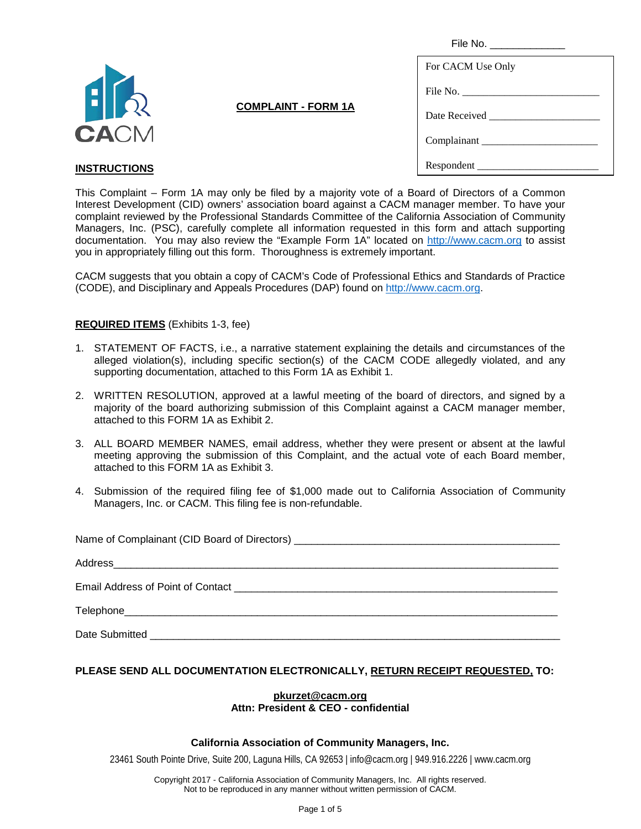| File No. _______________ |  |
|--------------------------|--|
| For CACM Use Only        |  |
| File No.                 |  |
|                          |  |
| Complainant              |  |
| Respondent               |  |



## **COMPLAINT - FORM 1A**

## **INSTRUCTIONS**

This Complaint – Form 1A may only be filed by a majority vote of a Board of Directors of a Common Interest Development (CID) owners' association board against a CACM manager member. To have your complaint reviewed by the Professional Standards Committee of the California Association of Community Managers, Inc. (PSC), carefully complete all information requested in this form and attach supporting documentation. You may also review the "Example Form 1A" located on [http://www.cacm.org](http://www.cacm.org/) to assist you in appropriately filling out this form. Thoroughness is extremely important.

CACM suggests that you obtain a copy of CACM's Code of Professional Ethics and Standards of Practice (CODE), and Disciplinary and Appeals Procedures (DAP) found on [http://www.cacm.org.](http://www.cacm.org/)

### **REQUIRED ITEMS** (Exhibits 1-3, fee)

- 1. STATEMENT OF FACTS, i.e., a narrative statement explaining the details and circumstances of the alleged violation(s), including specific section(s) of the CACM CODE allegedly violated, and any supporting documentation, attached to this Form 1A as Exhibit 1.
- 2. WRITTEN RESOLUTION, approved at a lawful meeting of the board of directors, and signed by a majority of the board authorizing submission of this Complaint against a CACM manager member, attached to this FORM 1A as Exhibit 2.
- 3. ALL BOARD MEMBER NAMES, email address, whether they were present or absent at the lawful meeting approving the submission of this Complaint, and the actual vote of each Board member, attached to this FORM 1A as Exhibit 3.
- 4. Submission of the required filing fee of \$1,000 made out to California Association of Community Managers, Inc. or CACM. This filing fee is non-refundable.

Name of Complainant (CID Board of Directors)

| Address<br><u> 1980 - Jan James James Barnett, amerikan berkema dan berkema dalam pengaran berkema dan berkema dalam pengara</u>                                                                                                          |
|-------------------------------------------------------------------------------------------------------------------------------------------------------------------------------------------------------------------------------------------|
| Email Address of Point of Contact <b>Contact Address of Point Of Contact Address</b> of Point of Contact <b>Contact Address of Point Of Contact Address of Point of Contact Address of Point Of Contact Address of Point Of Contact A</b> |
|                                                                                                                                                                                                                                           |
| Date Submitted                                                                                                                                                                                                                            |

### **PLEASE SEND ALL DOCUMENTATION ELECTRONICALLY, RETURN RECEIPT REQUESTED, TO:**

## **[pkurzet@cacm.org](mailto:pkurzet@cacm.org)**

## **Attn: President & CEO - confidential**

#### **California Association of Community Managers, Inc.**

23461 South Pointe Drive, Suite 200, Laguna Hills, CA 92653 | info@cacm.org | 949.916.2226 | www.cacm.org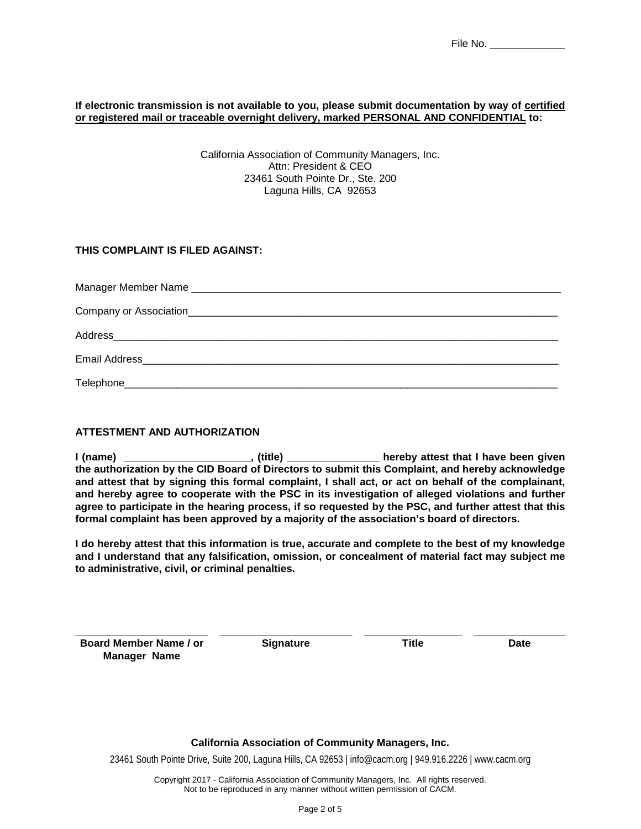#### **If electronic transmission is not available to you, please submit documentation by way of certified or registered mail or traceable overnight delivery, marked PERSONAL AND CONFIDENTIAL to:**

California Association of Community Managers, Inc. Attn: President & CEO 23461 South Pointe Dr., Ste. 200 Laguna Hills, CA 92653

### **THIS COMPLAINT IS FILED AGAINST:**

### **ATTESTMENT AND AUTHORIZATION**

**I (name) \_\_\_\_\_\_\_\_\_\_\_\_\_\_\_\_\_\_\_\_\_\_, (title) \_\_\_\_\_\_\_\_\_\_\_\_\_\_\_\_ hereby attest that I have been given the authorization by the CID Board of Directors to submit this Complaint, and hereby acknowledge and attest that by signing this formal complaint, I shall act, or act on behalf of the complainant, and hereby agree to cooperate with the PSC in its investigation of alleged violations and further agree to participate in the hearing process, if so requested by the PSC, and further attest that this formal complaint has been approved by a majority of the association's board of directors.**

**I do hereby attest that this information is true, accurate and complete to the best of my knowledge and I understand that any falsification, omission, or concealment of material fact may subject me to administrative, civil, or criminal penalties.**

**\_\_\_\_\_\_\_\_\_\_\_\_\_\_\_\_\_\_\_\_\_\_\_ Board Member Name / or Manager Name**

**\_\_\_\_\_\_\_\_\_\_\_\_\_\_\_\_\_\_\_\_\_\_\_ Signature**

**\_\_\_\_\_\_\_\_\_\_\_\_\_\_\_\_\_ Title**

**\_\_\_\_\_\_\_\_\_\_\_\_\_\_\_\_ Date**

#### **California Association of Community Managers, Inc.**

23461 South Pointe Drive, Suite 200, Laguna Hills, CA 92653 | info@cacm.org | 949.916.2226 | www.cacm.org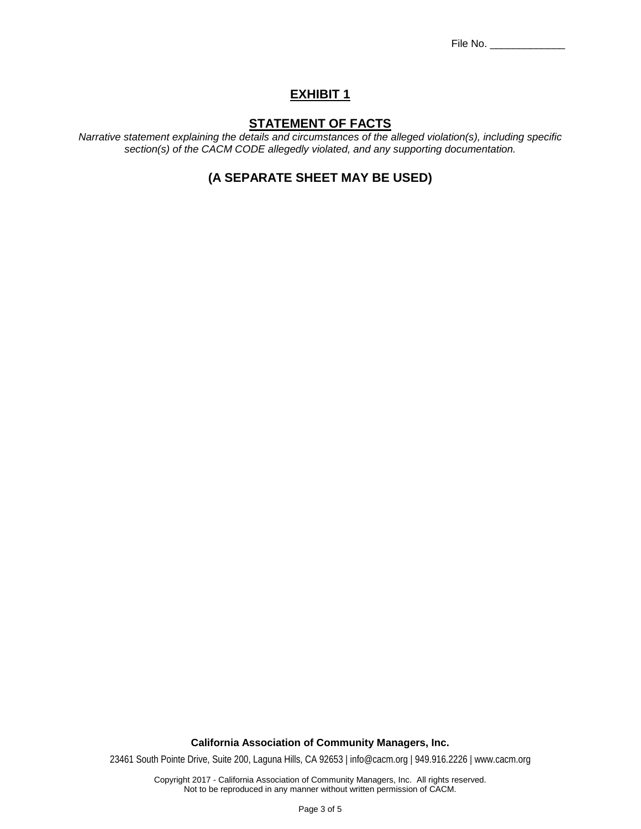File No. \_\_\_\_\_\_\_\_\_\_\_\_\_

## **EXHIBIT 1**

## **STATEMENT OF FACTS**

*Narrative statement explaining the details and circumstances of the alleged violation(s), including specific section(s) of the CACM CODE allegedly violated, and any supporting documentation.*

## **(A SEPARATE SHEET MAY BE USED)**

**California Association of Community Managers, Inc.**

23461 South Pointe Drive, Suite 200, Laguna Hills, CA 92653 | info@cacm.org | 949.916.2226 | www.cacm.org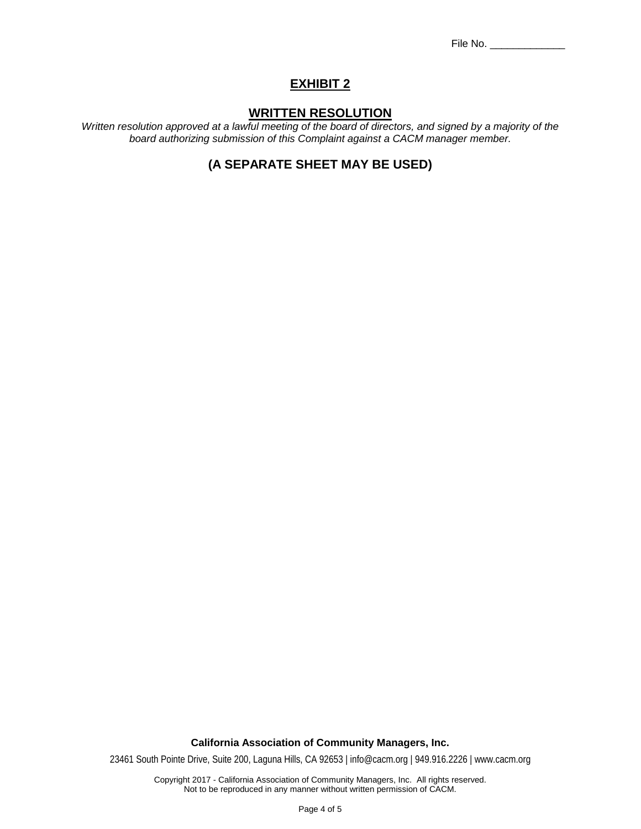File No. \_\_\_\_\_\_\_\_\_\_\_\_\_

## **EXHIBIT 2**

### **WRITTEN RESOLUTION**

*Written resolution approved at a lawful meeting of the board of directors, and signed by a majority of the board authorizing submission of this Complaint against a CACM manager member.*

# **(A SEPARATE SHEET MAY BE USED)**

**California Association of Community Managers, Inc.**

23461 South Pointe Drive, Suite 200, Laguna Hills, CA 92653 | info@cacm.org | 949.916.2226 | www.cacm.org